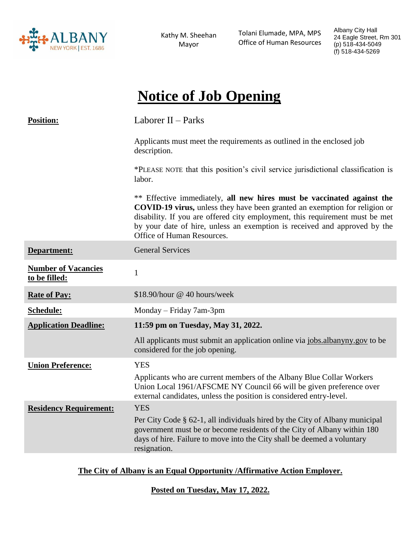

Kathy M. Sheehan Mayor

 Tolani Elumade, MPA, MPS Office of Human Resources Albany City Hall 24 Eagle Street, Rm 301 (p) 518-434-5049 (f) 518-434-5269

# **Notice of Job Opening**

| <b>Position:</b>                            | Laborer $II$ – Parks                                                                                                                                                                                                                                                                                                                                   |
|---------------------------------------------|--------------------------------------------------------------------------------------------------------------------------------------------------------------------------------------------------------------------------------------------------------------------------------------------------------------------------------------------------------|
|                                             | Applicants must meet the requirements as outlined in the enclosed job<br>description.                                                                                                                                                                                                                                                                  |
|                                             | *PLEASE NOTE that this position's civil service jurisdictional classification is<br>labor.                                                                                                                                                                                                                                                             |
|                                             | ** Effective immediately, all new hires must be vaccinated against the<br><b>COVID-19 virus,</b> unless they have been granted an exemption for religion or<br>disability. If you are offered city employment, this requirement must be met<br>by your date of hire, unless an exemption is received and approved by the<br>Office of Human Resources. |
| Department:                                 | <b>General Services</b>                                                                                                                                                                                                                                                                                                                                |
| <b>Number of Vacancies</b><br>to be filled: | $\mathbf{1}$                                                                                                                                                                                                                                                                                                                                           |
| <b>Rate of Pay:</b>                         | \$18.90/hour @ 40 hours/week                                                                                                                                                                                                                                                                                                                           |
| Schedule:                                   | Monday – Friday 7am-3pm                                                                                                                                                                                                                                                                                                                                |
| <b>Application Deadline:</b>                | 11:59 pm on Tuesday, May 31, 2022.                                                                                                                                                                                                                                                                                                                     |
|                                             | All applicants must submit an application online via jobs.albanyny.gov to be<br>considered for the job opening.                                                                                                                                                                                                                                        |
| <b>Union Preference:</b>                    | <b>YES</b>                                                                                                                                                                                                                                                                                                                                             |
|                                             | Applicants who are current members of the Albany Blue Collar Workers<br>Union Local 1961/AFSCME NY Council 66 will be given preference over<br>external candidates, unless the position is considered entry-level.                                                                                                                                     |
| <b>Residency Requirement:</b>               | <b>YES</b>                                                                                                                                                                                                                                                                                                                                             |
|                                             | Per City Code § 62-1, all individuals hired by the City of Albany municipal<br>government must be or become residents of the City of Albany within 180<br>days of hire. Failure to move into the City shall be deemed a voluntary<br>resignation.                                                                                                      |

# **The City of Albany is an Equal Opportunity /Affirmative Action Employer.**

**Posted on Tuesday, May 17, 2022.**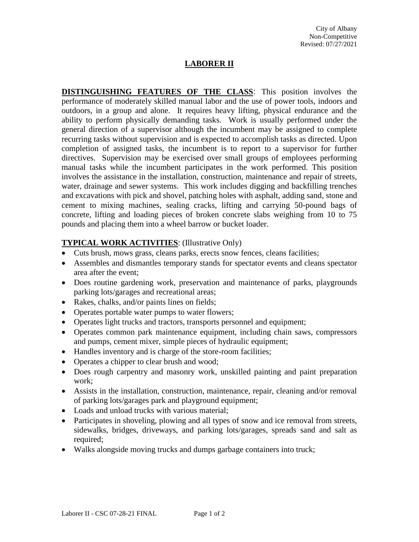# **LABORER II**

**DISTINGUISHING FEATURES OF THE CLASS**: This position involves the performance of moderately skilled manual labor and the use of power tools, indoors and outdoors, in a group and alone. It requires heavy lifting, physical endurance and the ability to perform physically demanding tasks. Work is usually performed under the general direction of a supervisor although the incumbent may be assigned to complete recurring tasks without supervision and is expected to accomplish tasks as directed. Upon completion of assigned tasks, the incumbent is to report to a supervisor for further directives. Supervision may be exercised over small groups of employees performing manual tasks while the incumbent participates in the work performed. This position involves the assistance in the installation, construction, maintenance and repair of streets, water, drainage and sewer systems. This work includes digging and backfilling trenches and excavations with pick and shovel, patching holes with asphalt, adding sand, stone and cement to mixing machines, sealing cracks, lifting and carrying 50-pound bags of concrete, lifting and loading pieces of broken concrete slabs weighing from 10 to 75 pounds and placing them into a wheel barrow or bucket loader.

# **TYPICAL WORK ACTIVITIES**: (Illustrative Only)

- Cuts brush, mows grass, cleans parks, erects snow fences, cleans facilities;
- Assembles and dismantles temporary stands for spectator events and cleans spectator area after the event;
- Does routine gardening work, preservation and maintenance of parks, playgrounds parking lots/garages and recreational areas;
- Rakes, chalks, and/or paints lines on fields;
- Operates portable water pumps to water flowers;
- Operates light trucks and tractors, transports personnel and equipment;
- Operates common park maintenance equipment, including chain saws, compressors and pumps, cement mixer, simple pieces of hydraulic equipment;
- Handles inventory and is charge of the store-room facilities;
- Operates a chipper to clear brush and wood;
- Does rough carpentry and masonry work, unskilled painting and paint preparation work;
- Assists in the installation, construction, maintenance, repair, cleaning and/or removal of parking lots/garages park and playground equipment;
- Loads and unload trucks with various material;
- Participates in shoveling, plowing and all types of snow and ice removal from streets, sidewalks, bridges, driveways, and parking lots/garages, spreads sand and salt as required;
- Walks alongside moving trucks and dumps garbage containers into truck;